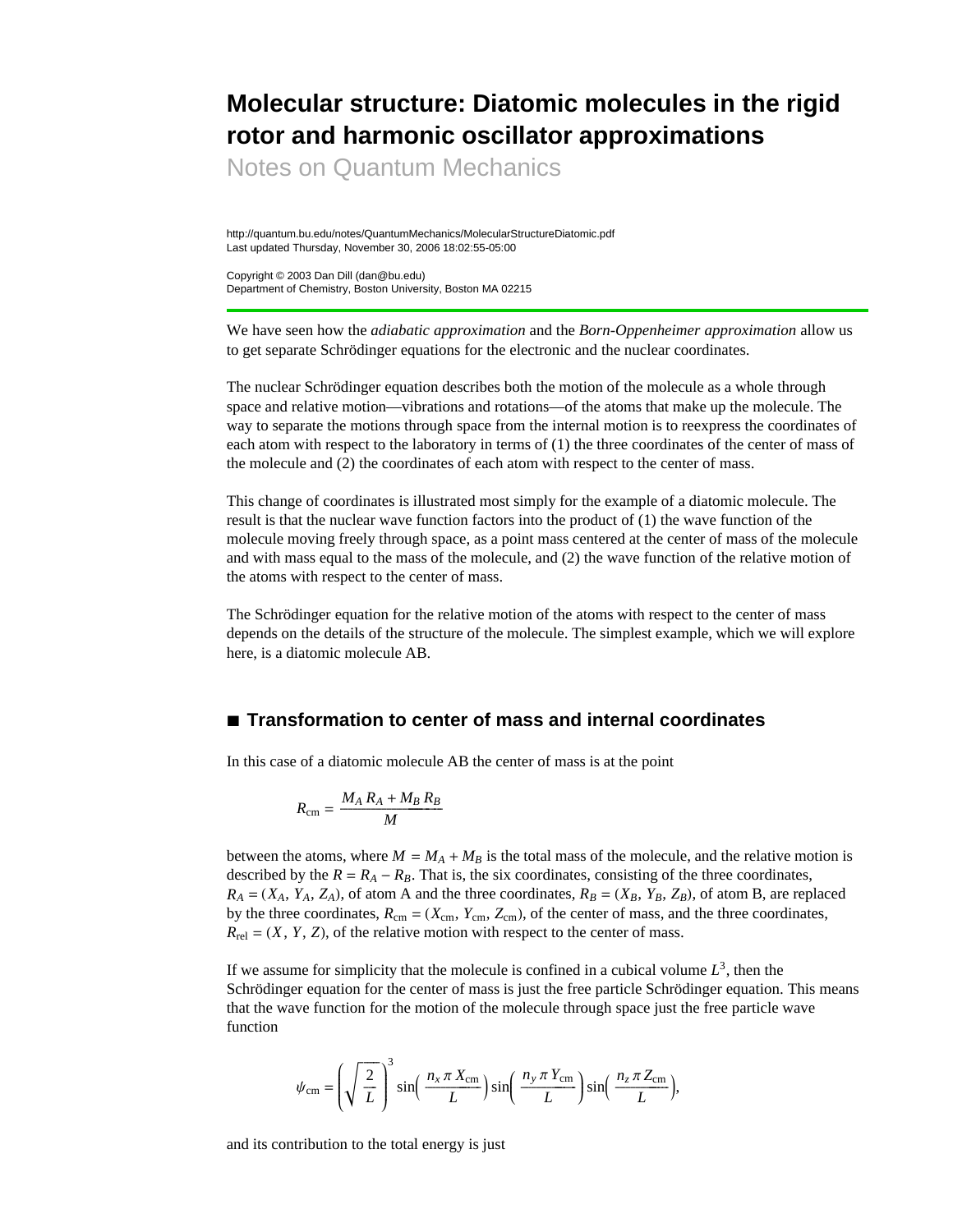## **Molecular structure: Diatomic molecules in the rigid rotor and harmonic oscillator approximations**

Notes on Quantum Mechanics

http://quantum.bu.edu/notes/QuantumMechanics/MolecularStructureDiatomic.pdf Last updated Thursday, November 30, 2006 18:02:55-05:00

Copyright © 2003 Dan Dill (dan@bu.edu) Department of Chemistry, Boston University, Boston MA 02215

We have seen how the *adiabatic approximation* and the *Born-Oppenheimer approximation* allow us to get separate Schrödinger equations for the electronic and the nuclear coordinates.

The nuclear Schrödinger equation describes both the motion of the molecule as a whole through space and relative motion—vibrations and rotations—of the atoms that make up the molecule. The way to separate the motions through space from the internal motion is to reexpress the coordinates of each atom with respect to the laboratory in terms of (1) the three coordinates of the center of mass of the molecule and (2) the coordinates of each atom with respect to the center of mass.

This change of coordinates is illustrated most simply for the example of a diatomic molecule. The result is that the nuclear wave function factors into the product of (1) the wave function of the molecule moving freely through space, as a point mass centered at the center of mass of the molecule and with mass equal to the mass of the molecule, and (2) the wave function of the relative motion of the atoms with respect to the center of mass.

The Schrödinger equation for the relative motion of the atoms with respect to the center of mass depends on the details of the structure of the molecule. The simplest example, which we will explore here, is a diatomic molecule AB.

## **à Transformation to center of mass and internal coordinates**

In this case of a diatomic molecule AB the center of mass is at the point

$$
R_{\rm cm} = \frac{M_A R_A + M_B R_B}{M}
$$

between the atoms, where  $M = M_A + M_B$  is the total mass of the molecule, and the relative motion is described by the  $R = R_A - R_B$ . That is, the six coordinates, consisting of the three coordinates,  $R_A = (X_A, Y_A, Z_A)$ , of atom A and the three coordinates,  $R_B = (X_B, Y_B, Z_B)$ , of atom B, are replaced by the three coordinates,  $R_{cm} = (X_{cm}, Y_{cm}, Z_{cm})$ , of the center of mass, and the three coordinates,  $R_{\text{rel}} = (X, Y, Z)$ , of the relative motion with respect to the center of mass.

If we assume for simplicity that the molecule is confined in a cubical volume  $L^3$ , then the Schrödinger equation for the center of mass is just the free particle Schrödinger equation. This means that the wave function for the motion of the molecule through space just the free particle wave function

$$
\psi_{\rm cm} = \left(\sqrt{\frac{2}{L}}\right)^3 \sin\left(\frac{n_x \pi X_{\rm cm}}{L}\right) \sin\left(\frac{n_y \pi Y_{\rm cm}}{L}\right) \sin\left(\frac{n_z \pi Z_{\rm cm}}{L}\right),\,
$$

and its contribution to the total energy is just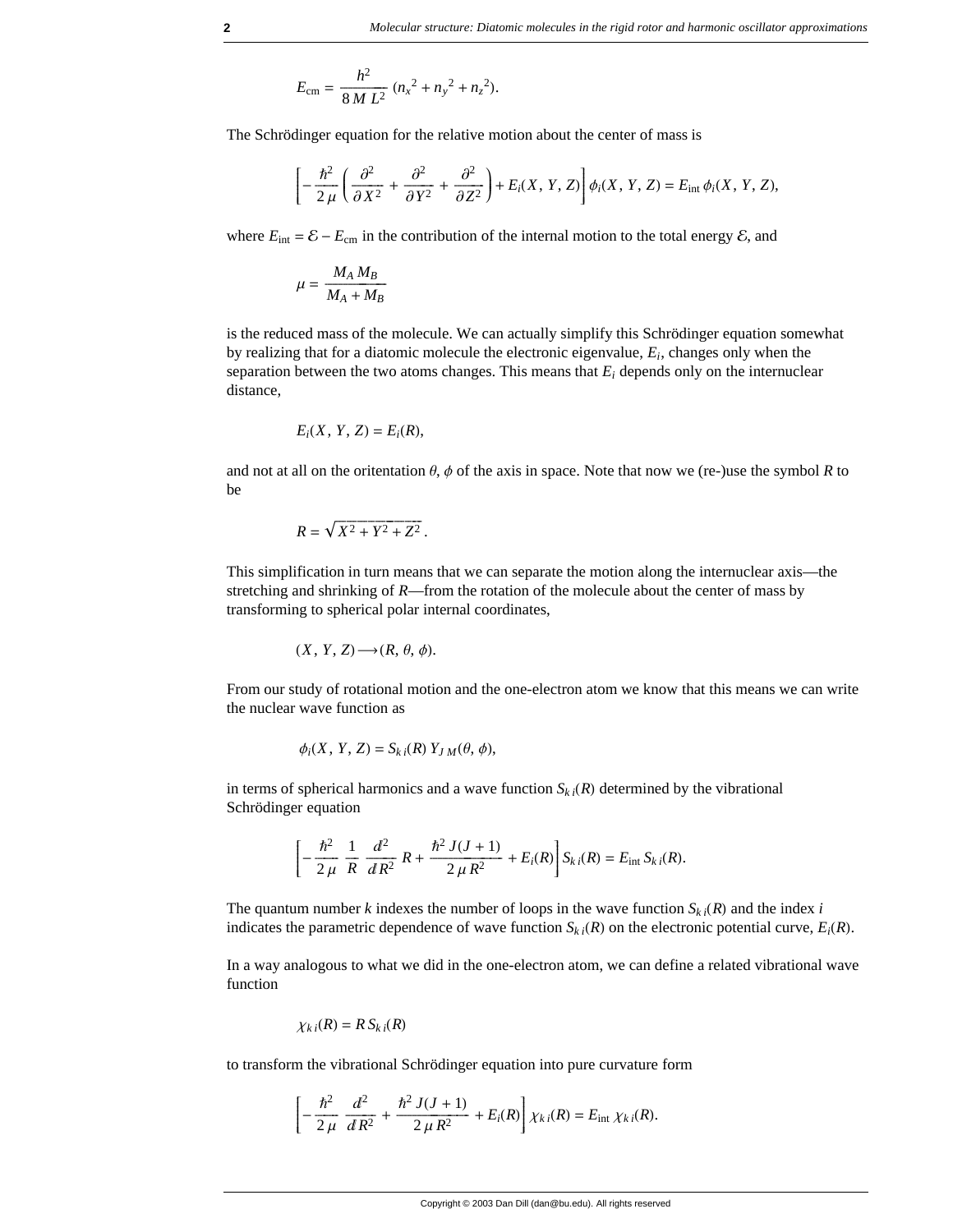$$
E_{\rm cm} = \frac{h^2}{8\,M\,L^2}\,(n_x^2 + n_y^2 + n_z^2).
$$

The Schrödinger equation for the relative motion about the center of mass is

$$
\left[-\frac{\hbar^2}{2\,\mu}\left(\frac{\partial^2}{\partial X^2}+\frac{\partial^2}{\partial Y^2}+\frac{\partial^2}{\partial Z^2}\right)+E_i(X,Y,Z)\right]\phi_i(X,Y,Z)=E_{\rm int}\,\phi_i(X,Y,Z),
$$

where  $E_{\text{int}} = \mathcal{E} - E_{\text{cm}}$  in the contribution of the internal motion to the total energy  $\mathcal{E}$ , and

$$
\mu = \frac{M_A M_B}{M_A + M_B}
$$

is the reduced mass of the molecule. We can actually simplify this Schrödinger equation somewhat by realizing that for a diatomic molecule the electronic eigenvalue, *Ei*, changes only when the separation between the two atoms changes. This means that  $E_i$  depends only on the internuclear distance,

$$
E_i(X, Y, Z) = E_i(R),
$$

and not at all on the oritentation  $\theta$ ,  $\phi$  of the axis in space. Note that now we (re-)use the symbol *R* to be

$$
R=\sqrt{X^2+Y^2+Z^2}.
$$

This simplification in turn means that we can separate the motion along the internuclear axis—the stretching and shrinking of *R*—from the rotation of the molecule about the center of mass by transforming to spherical polar internal coordinates,

$$
(X, Y, Z) \longrightarrow (R, \theta, \phi).
$$

From our study of rotational motion and the one-electron atom we know that this means we can write the nuclear wave function as

$$
\phi_i(X, Y, Z) = S_{ki}(R) Y_{JM}(\theta, \phi),
$$

in terms of spherical harmonics and a wave function  $S_{ki}(R)$  determined by the vibrational Schrödinger equation

$$
\left[-\frac{\hbar^2}{2\,\mu}\,\frac{1}{R}\,\frac{d^2}{d\,R^2}\,R + \frac{\hbar^2\,J(J+1)}{2\,\mu\,R^2} + E_i(R)\right]S_{ki}(R) = E_{\rm int}\,S_{ki}(R).
$$

The quantum number *k* indexes the number of loops in the wave function  $S_k$  *i*( $R$ ) and the index *i* indicates the parametric dependence of wave function  $S_{ki}(R)$  on the electronic potential curve,  $E_i(R)$ .

In a way analogous to what we did in the one-electron atom, we can define a related vibrational wave function

$$
\chi_{k\,i}(R)=R\,S_{k\,i}(R)
$$

to transform the vibrational Schrödinger equation into pure curvature form

$$
\left[-\frac{\hbar^2}{2\,\mu}\,\frac{d^2}{d\,R^2}+\frac{\hbar^2\,J(J+1)}{2\,\mu\,R^2}+E_i(R)\right]\chi_{ki}(R)=E_{\rm int}\,\chi_{ki}(R).
$$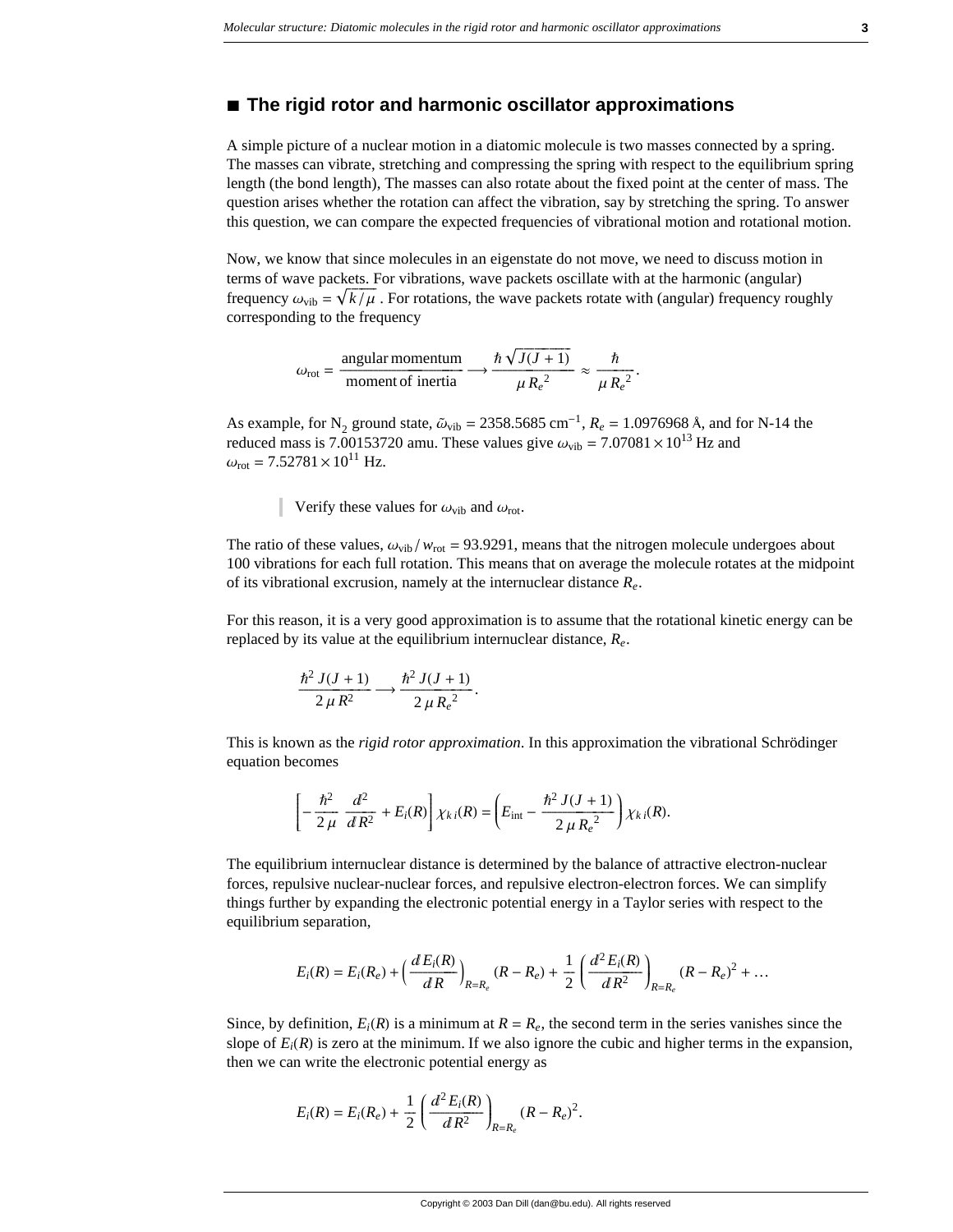## **à The rigid rotor and harmonic oscillator approximations**

A simple picture of a nuclear motion in a diatomic molecule is two masses connected by a spring. The masses can vibrate, stretching and compressing the spring with respect to the equilibrium spring length (the bond length), The masses can also rotate about the fixed point at the center of mass. The question arises whether the rotation can affect the vibration, say by stretching the spring. To answer this question, we can compare the expected frequencies of vibrational motion and rotational motion.

Now, we know that since molecules in an eigenstate do not move, we need to discuss motion in terms of wave packets. For vibrations, wave packets oscillate with at the harmonic (angular) frequency  $\omega_{\text{vib}} = \sqrt{k/\mu}$ . For rotations, the wave packets rotate with (angular) frequency roughly corresponding to the frequency

$$
\omega_{\text{rot}} = \frac{\text{angular momentum}}{\text{moment of inertia}} \longrightarrow \frac{\hbar \sqrt{J(J+1)}}{\mu R_e^2} \approx \frac{\hbar}{\mu R_e^2}.
$$

As example, for N<sub>2</sub> ground state,  $\tilde{\omega}_{\text{vib}} = 2358.5685 \text{ cm}^{-1}$ ,  $R_e = 1.0976968 \text{ Å}$ , and for N-14 the reduced mass is 7.00153720 amu. These values give  $\omega_{\text{vib}} = 7.07081 \times 10^{13}$  Hz and  $\omega_{\text{rot}} = 7.52781 \times 10^{11} \text{ Hz}.$ 

Verify these values for  $\omega_{\text{vib}}$  and  $\omega_{\text{rot}}$ .

The ratio of these values,  $\omega_{\text{vib}}/w_{\text{rot}} = 93.9291$ , means that the nitrogen molecule undergoes about 100 vibrations for each full rotation. This means that on average the molecule rotates at the midpoint of its vibrational excrusion, namely at the internuclear distance *Re*.

For this reason, it is a very good approximation is to assume that the rotational kinetic energy can be replaced by its value at the equilibrium internuclear distance, *Re*.

$$
\frac{\hbar^2 J(J+1)}{2 \mu R^2} \longrightarrow \frac{\hbar^2 J(J+1)}{2 \mu R_e^2}.
$$

This is known as the *rigid rotor approximation*. In this approximation the vibrational Schrödinger equation becomes

$$
\left[-\frac{\hbar^2}{2\,\mu}\,\frac{d^2}{d\,R^2} + E_i(R)\right]\chi_{ki}(R) = \left(E_{\rm int} - \frac{\hbar^2\,J(J+1)}{2\,\mu\,R_e^2}\right)\chi_{ki}(R).
$$

The equilibrium internuclear distance is determined by the balance of attractive electron-nuclear forces, repulsive nuclear-nuclear forces, and repulsive electron-electron forces. We can simplify things further by expanding the electronic potential energy in a Taylor series with respect to the equilibrium separation,

$$
E_i(R) = E_i(R_e) + \left(\frac{d E_i(R)}{d R}\right)_{R=R_e} (R - R_e) + \frac{1}{2} \left(\frac{d^2 E_i(R)}{d R^2}\right)_{R=R_e} (R - R_e)^2 + \dots
$$

Since, by definition,  $E_i(R)$  is a minimum at  $R = R_e$ , the second term in the series vanishes since the slope of  $E_i(R)$  is zero at the minimum. If we also ignore the cubic and higher terms in the expansion, then we can write the electronic potential energy as

$$
E_i(R) = E_i(R_e) + \frac{1}{2} \left( \frac{d^2 E_i(R)}{d R^2} \right)_{R=R_e} (R - R_e)^2.
$$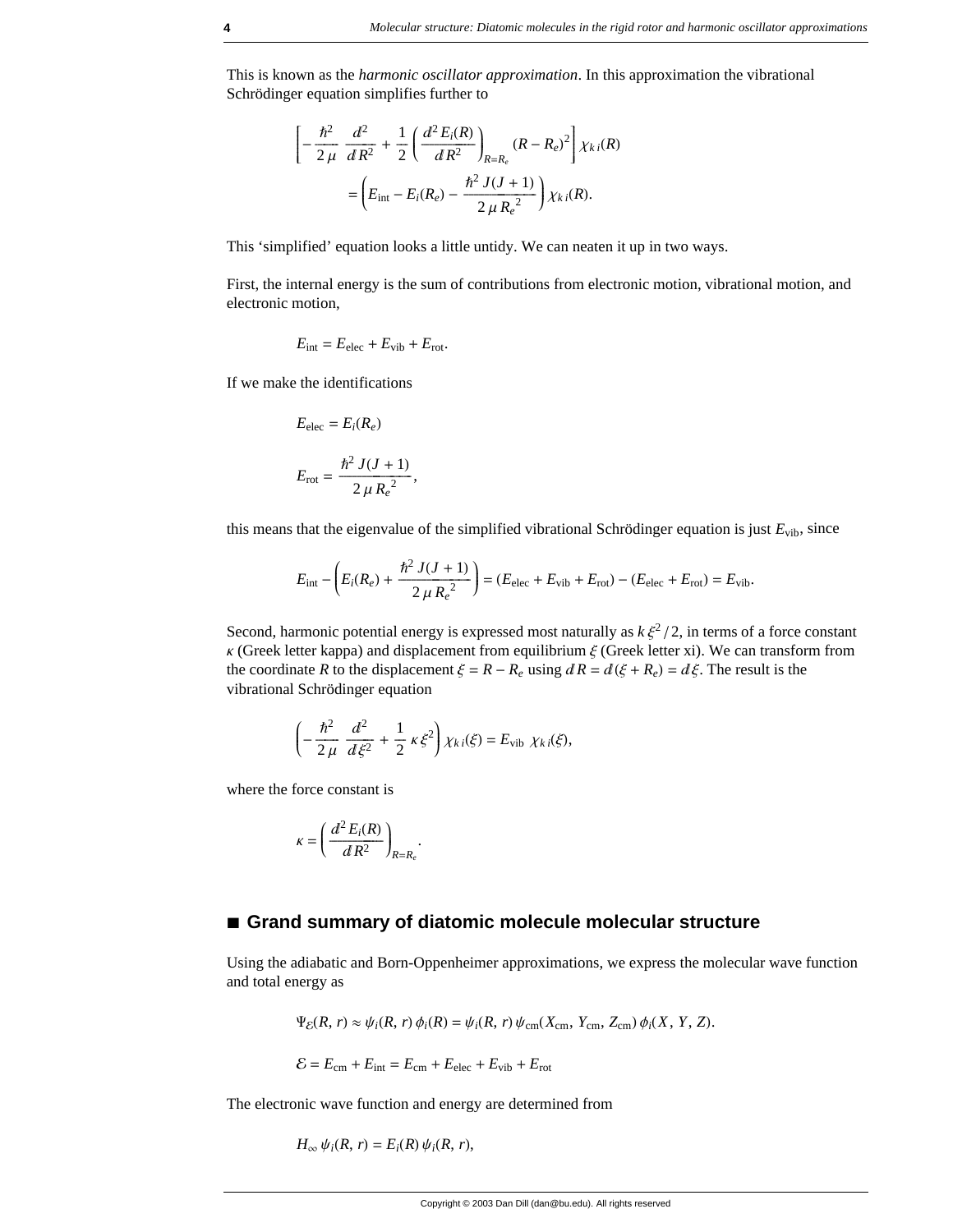This is known as the *harmonic oscillator approximation*. In this approximation the vibrational Schrödinger equation simplifies further to

$$
\left[-\frac{\hbar^2}{2\,\mu}\,\frac{d^2}{d\,R^2} + \frac{1}{2}\left(\frac{d^2\,E_i(R)}{d\,R^2}\right)_{R=R_e} (R - R_e)^2\right]\chi_{ki}(R)
$$

$$
= \left(E_{\rm int} - E_i(R_e) - \frac{\hbar^2\,J(J+1)}{2\,\mu\,R_e^2}\right)\chi_{ki}(R).
$$

This 'simplified' equation looks a little untidy. We can neaten it up in two ways.

First, the internal energy is the sum of contributions from electronic motion, vibrational motion, and electronic motion,

$$
E_{\text{int}} = E_{\text{elec}} + E_{\text{vib}} + E_{\text{rot}}.
$$

If we make the identifications

$$
E_{\text{elec}} = E_i(R_e)
$$
  

$$
E_{\text{rot}} = \frac{\hbar^2 J(J+1)}{2 \mu {R_e}^2},
$$

this means that the eigenvalue of the simplified vibrational Schrödinger equation is just  $E_{\text{vib}}$ , since

$$
E_{\rm int} - \left( E_i(R_e) + \frac{\hbar^2 J(J+1)}{2 \mu R_e^2} \right) = (E_{\rm elec} + E_{\rm vib} + E_{\rm rot}) - (E_{\rm elec} + E_{\rm rot}) = E_{\rm vib}.
$$

Second, harmonic potential energy is expressed most naturally as  $k \xi^2/2$ , in terms of a force constant  $k$  (Greek letter kappa) and displacement from equilibrium  $\xi$  (Greek letter xi). We can transform from the coordinate *R* to the displacement  $\xi = R - R_e$  using  $dR = d(\xi + R_e) = d\xi$ . The result is the vibrational Schrödinger equation

$$
\left(-\frac{\hbar^2}{2\,\mu}\,\frac{d^2}{d\xi^2}+\frac{1}{2}\,\kappa\,\xi^2\right)\chi_{ki}(\xi)=E_{\text{vib}}\,\,\chi_{ki}(\xi),
$$

.

where the force constant is

$$
\kappa = \left(\frac{d^2 E_i(R)}{d R^2}\right)_{R=R_e}
$$

## **à Grand summary of diatomic molecule molecular structure**

Using the adiabatic and Born-Oppenheimer approximations, we express the molecular wave function and total energy as

$$
\Psi_{\mathcal{E}}(R, r) \approx \psi_i(R, r) \phi_i(R) = \psi_i(R, r) \psi_{\rm cm}(X_{\rm cm}, Y_{\rm cm}, Z_{\rm cm}) \phi_i(X, Y, Z).
$$
  

$$
\mathcal{E} = E_{\rm cm} + E_{\rm int} = E_{\rm cm} + E_{\rm elec} + E_{\rm vib} + E_{\rm rot}
$$

The electronic wave function and energy are determined from

$$
H_{\infty}\psi_i(R,\,r)=E_i(R)\,\psi_i(R,\,r),
$$